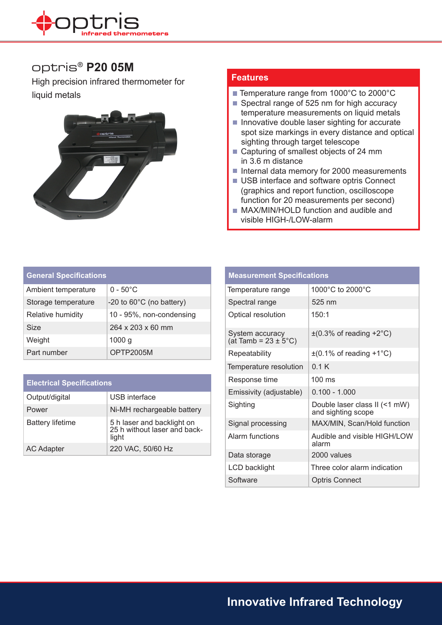

## optris® **P20 05M**

High precision infrared thermometer for



## **Features**

- liquid metals Temperature range from 1000°C to 2000°C
	- Spectral range of 525 nm for high accuracy temperature measurements on liquid metals
	- $\blacksquare$  Innovative double laser sighting for accurate spot size markings in every distance and optical sighting through target telescope
	- Capturing of smallest objects of 24 mm in 3.6 m distance
	- Internal data memory for 2000 measurements
	- USB interface and software optris Connect (graphics and report function, oscilloscope function for 20 measurements per second)
	- **MAX/MIN/HOLD function and audible and** visible HIGH-/LOW-alarm

| <b>General Specifications</b> |                                    |  |
|-------------------------------|------------------------------------|--|
| Ambient temperature           | $0 - 50^{\circ}$ C                 |  |
| Storage temperature           | -20 to $60^{\circ}$ C (no battery) |  |
| Relative humidity             | 10 - 95%, non-condensing           |  |
| <b>Size</b>                   | $264 \times 203 \times 60$ mm      |  |
| Weight                        | 1000 <sub>g</sub>                  |  |
| Part number                   | OPTP2005M                          |  |

| <b>Electrical Specifications</b> |                                                                     |
|----------------------------------|---------------------------------------------------------------------|
| Output/digital                   | USB interface                                                       |
| Power                            | Ni-MH rechargeable battery                                          |
| <b>Battery lifetime</b>          | 5 h laser and backlight on<br>25 h without laser and back-<br>light |
| <b>AC Adapter</b>                | 220 VAC, 50/60 Hz                                                   |

| <b>Measurement Specifications</b>                   |                                                     |  |
|-----------------------------------------------------|-----------------------------------------------------|--|
| Temperature range                                   | 1000°C to 2000°C                                    |  |
| Spectral range                                      | 525 nm                                              |  |
| Optical resolution                                  | 150:1                                               |  |
| System accuracy<br>(at Tamb = $23 \pm 5^{\circ}$ C) | $\pm$ (0.3% of reading +2°C)                        |  |
| Repeatability                                       | $\pm$ (0.1% of reading +1°C)                        |  |
| Temperature resolution                              | 0.1K                                                |  |
| Response time                                       | 100 ms                                              |  |
| Emissivity (adjustable)                             | $0.100 - 1.000$                                     |  |
| Sighting                                            | Double laser class II (<1 mW)<br>and sighting scope |  |
| Signal processing                                   | MAX/MIN, Scan/Hold function                         |  |
| Alarm functions                                     | Audible and visible HIGH/LOW<br>alarm               |  |
| Data storage                                        | 2000 values                                         |  |
| LCD backlight                                       | Three color alarm indication                        |  |
| Software                                            | <b>Optris Connect</b>                               |  |

**Innovative Infrared Technology**